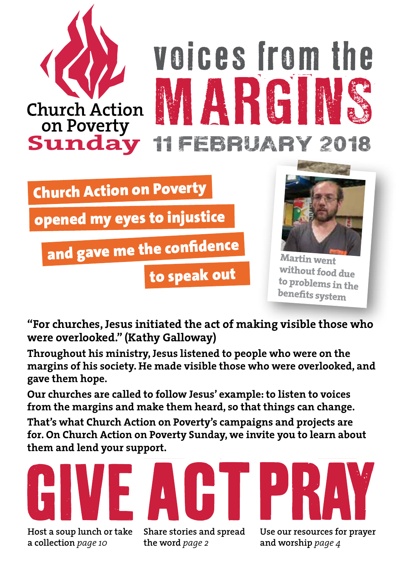

Church Action on Poverty

opened my eyes to injustice

and gave me the confidence

to speak out



**Martin went without food due to problems in the benefits system**

**"For churches, Jesus initiated the act of making visible those who were overlooked." (Kathy Galloway)**

**Throughout his ministry, Jesus listened to people who were on the margins of his society. He made visible those who were overlooked, and gave them hope.**

**Our churches are called to follow Jesus' example: to listen to voices from the margins and make them heard, so that things can change.**

**That's what Church Action on Poverty's campaigns and projects are for. On Church Action on Poverty Sunday, we invite you to learn about them and lend your support.**

**Host a soup lunch or take a collection** *page 10*

**Share stories and spread the word** *page 2*

**Use our resources for prayer and worship** *page 4*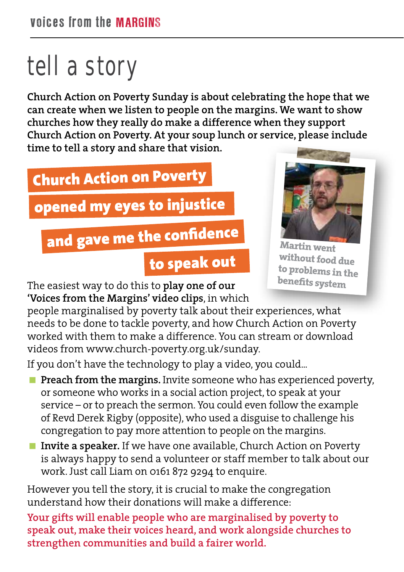# tell a story

**Church Action on Poverty Sunday is about celebrating the hope that we can create when we listen to people on the margins. We want to show churches how they really do make a difference when they support Church Action on Poverty. At your soup lunch or service, please include time to tell a story and share that vision.** 

# Church Action on Poverty

opened my eyes to injustice

## and gave me the confidence

### to speak out



**Martin went without food due to problems in the benefits system**

The easiest way to do this to **play one of our 'Voices from the Margins' video clips**, in which

people marginalised by poverty talk about their experiences, what needs to be done to tackle poverty, and how Church Action on Poverty worked with them to make a difference. You can stream or download videos from www.church-poverty.org.uk/sunday.

If you don't have the technology to play a video, you could...

- **Preach from the margins.** Invite someone who has experienced poverty, or someone who works in a social action project, to speak at your service – or to preach the sermon. You could even follow the example of Revd Derek Rigby (opposite), who used a disguise to challenge his congregation to pay more attention to people on the margins.
- **Invite a speaker.** If we have one available, Church Action on Poverty is always happy to send a volunteer or staff member to talk about our work. Just call Liam on 0161 872 9294 to enquire.

However you tell the story, it is crucial to make the congregation understand how their donations will make a difference:

**Your gifts will enable people who are marginalised by poverty to speak out, make their voices heard, and work alongside churches to strengthen communities and build a fairer world.**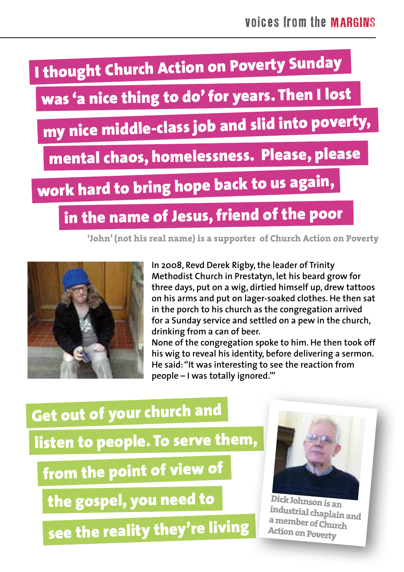

was 'a nice thing to do' for years. Then I lost

my nice middle-class job and slid into poverty,

mental chaos, homelessness. Please, please

work hard to bring hope back to us again,

### in the name of Jesus, friend of the poor

**'John' (not his real name) is a supporter of Church Action on Poverty**



**In 2008, Revd Derek Rigby, the leader of Trinity Methodist Church in Prestatyn, let his beard grow for three days, put on a wig, dirtied himself up, drew tattoos on his arms and put on lager-soaked clothes. He then sat in the porch to his church as the congregation arrived for a Sunday service and settled on a pew in the church, drinking from a can of beer.**

**None of the congregation spoke to him. He then took off his wig to reveal his identity, before delivering a sermon. He said: "It was interesting to see the reaction from people – I was totally ignored.'"**

## Get out of your church and listen to people. To serve them, from the point of view of

the gospel, you need to

see the reality they're living



**Dick Johnson is an industrial chaplain and a member of Church Action on Poverty**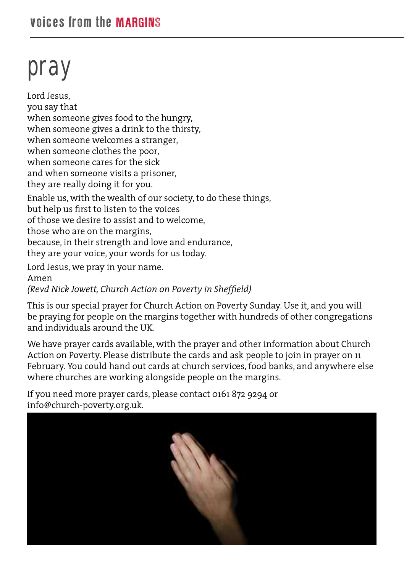# pray

Lord Jesus, you say that when someone gives food to the hungry, when someone gives a drink to the thirsty, when someone welcomes a stranger, when someone clothes the poor, when someone cares for the sick and when someone visits a prisoner, they are really doing it for you. Enable us, with the wealth of our society, to do these things, but help us first to listen to the voices of those we desire to assist and to welcome, those who are on the margins, because, in their strength and love and endurance, they are your voice, your words for us today. Lord Jesus, we pray in your name. Amen *(Revd Nick Jowett, Church Action on Poverty in Sheffield)*

This is our special prayer for Church Action on Poverty Sunday. Use it, and you will be praying for people on the margins together with hundreds of other congregations and individuals around the UK.

We have prayer cards available, with the prayer and other information about Church Action on Poverty. Please distribute the cards and ask people to join in prayer on 11 February. You could hand out cards at church services, food banks, and anywhere else where churches are working alongside people on the margins.

If you need more prayer cards, please contact 0161 872 9294 or info@church-poverty.org.uk.

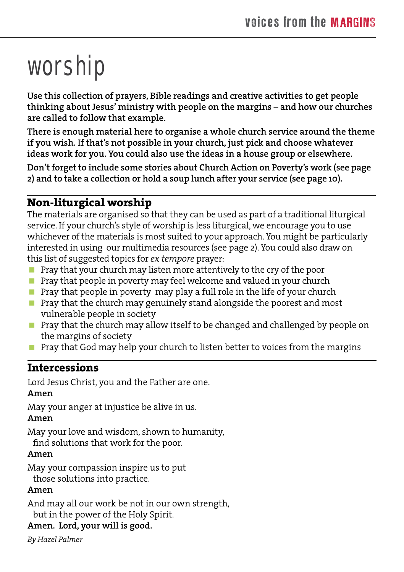# worship

**Use this collection of prayers, Bible readings and creative activities to get people thinking about Jesus' ministry with people on the margins – and how our churches are called to follow that example.**

**There is enough material here to organise a whole church service around the theme if you wish. If that's not possible in your church, just pick and choose whatever ideas work for you. You could also use the ideas in a house group or elsewhere.**

**Don't forget to include some stories about Church Action on Poverty's work (see page 2) and to take a collection or hold a soup lunch after your service (see page 10).**

#### **Non-liturgical worship**

The materials are organised so that they can be used as part of a traditional liturgical service. If your church's style of worship is less liturgical, we encourage you to use whichever of the materials is most suited to your approach. You might be particularly interested in using our multimedia resources (see page 2). You could also draw on this list of suggested topics for *ex tempore* prayer:

- **Pray that your church may listen more attentively to the cry of the poor**
- $\blacksquare$  Pray that people in poverty may feel welcome and valued in your church
- **Pray that people in poverty may play a full role in the life of your church**
- **Pray that the church may genuinely stand alongside the poorest and most** vulnerable people in society
- **Pray that the church may allow itself to be changed and challenged by people on** the margins of society
- **Pray that God may help your church to listen better to voices from the margins**

#### **Intercessions**

Lord Jesus Christ, you and the Father are one.

#### **Amen**

May your anger at injustice be alive in us.

#### **Amen**

May your love and wisdom, shown to humanity, find solutions that work for the poor.

#### **Amen**

May your compassion inspire us to put those solutions into practice.

#### **Amen**

And may all our work be not in our own strength,

but in the power of the Holy Spirit.

#### **Amen. Lord, your will is good.**

*By Hazel Palmer*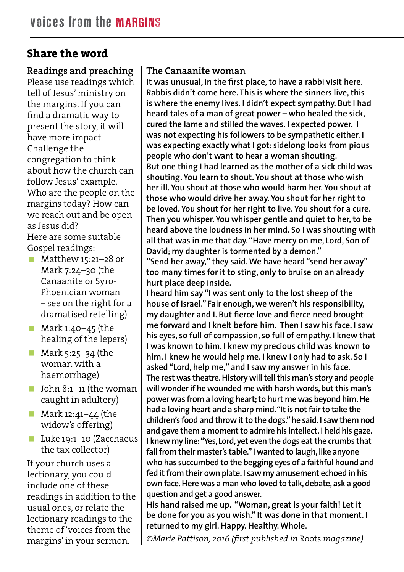#### **Share the word**

**Readings and preaching** Please use readings which tell of Jesus' ministry on the margins. If you can find a dramatic way to present the story, it will have more impact. Challenge the congregation to think about how the church can follow Jesus' example. Who are the people on the margins today? How can we reach out and be open as Jesus did? Here are some suitable Gospel readings:

- Matthew 15:21-28 or Mark 7:24–30 (the Canaanite or Syro-Phoenician woman – see on the right for a dramatised retelling)
- $\blacksquare$  Mark 1:40–45 (the healing of the lepers)
- **Mark 5:25–34 (the** woman with a haemorrhage)
- John  $8:1-11$  (the woman caught in adultery)
- Mark 12:41-44 (the widow's offering)
- Luke 19:1–10 (Zacchaeus the tax collector)

If your church uses a lectionary, you could include one of these readings in addition to the usual ones, or relate the lectionary readings to the theme of 'voices from the margins' in your sermon.

#### **The Canaanite woman**

**It was unusual, in the first place, to have a rabbi visit here. Rabbis didn't come here. This is where the sinners live, this is where the enemy lives. I didn't expect sympathy. But I had heard tales of a man of great power – who healed the sick, cured the lame and stilled the waves. I expected power. I was not expecting his followers to be sympathetic either. I was expecting exactly what I got: sidelong looks from pious people who don't want to hear a woman shouting. But one thing I had learned as the mother of a sick child was shouting. You learn to shout. You shout at those who wish her ill. You shout at those who would harm her. You shout at those who would drive her away. You shout for her right to be loved. You shout for her right to live. You shout for a cure. Then you whisper. You whisper gentle and quiet to her, to be heard above the loudness in her mind. So I was shouting with all that was in me that day. "Have mercy on me, Lord, Son of David; my daughter is tormented by a demon."**

**"Send her away," they said. We have heard "send her away" too many times for it to sting, only to bruise on an already hurt place deep inside.** 

**I heard him say "I was sent only to the lost sheep of the house of Israel." Fair enough, we weren't his responsibility, my daughter and I. But fierce love and fierce need brought me forward and I knelt before him. Then I saw his face. I saw his eyes, so full of compassion, so full of empathy. I knew that I was known to him. I knew my precious child was known to him. I knew he would help me. I knew I only had to ask. So I asked "Lord, help me," and I saw my answer in his face. The rest was theatre. History will tell this man's story and people will wonder if he wounded me with harsh words, but this man's power was from a loving heart; to hurt me was beyond him. He had a loving heart and a sharp mind. "It is not fair to take the children's food and throw it to the dogs." he said. I saw them nod and gave them a moment to admire his intellect. I held his gaze. I knew my line: "Yes, Lord, yet even the dogs eat the crumbs that fall from their master's table." I wanted to laugh, like anyone who has succumbed to the begging eyes of a faithful hound and fed it from their own plate. I saw my amusement echoed in his own face. Here was a man who loved to talk, debate, ask a good question and get a good answer.** 

**His hand raised me up. "Woman, great is your faith! Let it be done for you as you wish." It was done in that moment. I returned to my girl. Happy. Healthy. Whole.**

*©Marie Pattison, 2016 (first published in* Roots *magazine)*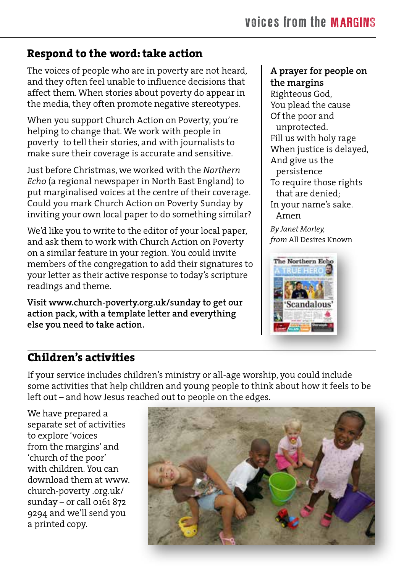#### **Respond to the word: take action**

The voices of people who are in poverty are not heard, and they often feel unable to influence decisions that affect them. When stories about poverty do appear in the media, they often promote negative stereotypes.

When you support Church Action on Poverty, you're helping to change that. We work with people in poverty to tell their stories, and with journalists to make sure their coverage is accurate and sensitive.

Just before Christmas, we worked with the *Northern Echo* (a regional newspaper in North East England) to put marginalised voices at the centre of their coverage. Could you mark Church Action on Poverty Sunday by inviting your own local paper to do something similar?

We'd like you to write to the editor of your local paper, and ask them to work with Church Action on Poverty on a similar feature in your region. You could invite members of the congregation to add their signatures to your letter as their active response to today's scripture readings and theme.

**Visit www.church-poverty.org.uk/sunday to get our action pack, with a template letter and everything else you need to take action.**

#### **A prayer for people on the margins**

Righteous God, You plead the cause Of the poor and unprotected. Fill us with holy rage When justice is delayed, And give us the persistence To require those rights that are denied; In your name's sake. Amen

*By Janet Morley, from* All Desires Known



#### **Children's activities**

If your service includes children's ministry or all-age worship, you could include some activities that help children and young people to think about how it feels to be left out – and how Jesus reached out to people on the edges.

We have prepared a separate set of activities to explore 'voices from the margins' and 'church of the poor' with children. You can download them at www. church-poverty .org.uk/ sunday – or call 0161 872 9294 and we'll send you a printed copy.

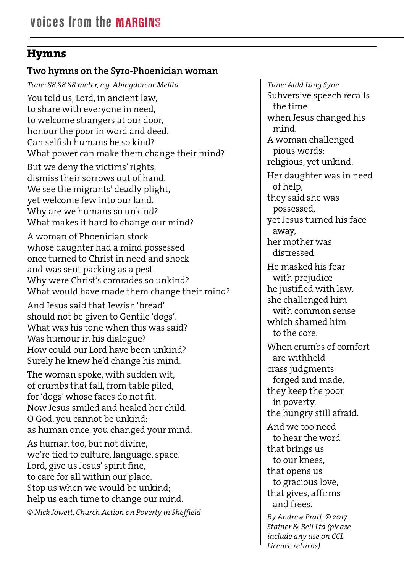#### **Hymns**

#### **Two hymns on the Syro-Phoenician woman**

*Tune: 88.88.88 meter, e.g. Abingdon or Melita*  You told us, Lord, in ancient law, to share with everyone in need, to welcome strangers at our door, honour the poor in word and deed. Can selfish humans be so kind? What power can make them change their mind?

But we deny the victims' rights, dismiss their sorrows out of hand. We see the migrants' deadly plight, yet welcome few into our land. Why are we humans so unkind? What makes it hard to change our mind?

A woman of Phoenician stock whose daughter had a mind possessed once turned to Christ in need and shock and was sent packing as a pest. Why were Christ's comrades so unkind? What would have made them change their mind?

And Jesus said that Jewish 'bread' should not be given to Gentile 'dogs'. What was his tone when this was said? Was humour in his dialogue? How could our Lord have been unkind? Surely he knew he'd change his mind.

The woman spoke, with sudden wit, of crumbs that fall, from table piled, for 'dogs' whose faces do not fit. Now Jesus smiled and healed her child. O God, you cannot be unkind: as human once, you changed your mind.

As human too, but not divine, we're tied to culture, language, space. Lord, give us Jesus' spirit fine, to care for all within our place. Stop us when we would be unkind; help us each time to change our mind.

*© Nick Jowett, Church Action on Poverty in Sheffield*

*Tune: Auld Lang Syne* Subversive speech recalls the time when Jesus changed his mind. A woman challenged pious words: religious, yet unkind. Her daughter was in need of help, they said she was possessed, yet Jesus turned his face away, her mother was distressed. He masked his fear with prejudice he justified with law, she challenged him with common sense which shamed him to the core. When crumbs of comfort are withheld crass judgments forged and made, they keep the poor in poverty, the hungry still afraid. And we too need to hear the word that brings us to our knees, that opens us to gracious love, that gives, affirms and frees. *By Andrew Pratt. © 2017 Stainer & Bell Ltd (please include any use on CCL Licence returns)*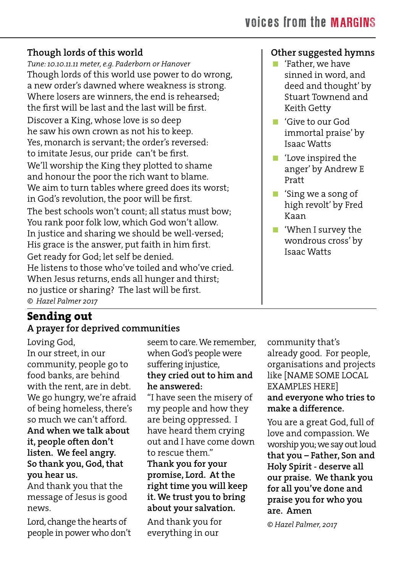#### **Though lords of this world**

*Tune: 10.10.11.11 meter, e.g. Paderborn or Hanover*  Though lords of this world use power to do wrong, a new order's dawned where weakness is strong. Where losers are winners, the end is rehearsed; the first will be last and the last will be first. Discover a King, whose love is so deep he saw his own crown as not his to keep. Yes, monarch is servant; the order's reversed: to imitate Jesus, our pride can't be first. We'll worship the King they plotted to shame and honour the poor the rich want to blame. We aim to turn tables where greed does its worst; in God's revolution, the poor will be first. The best schools won't count; all status must bow; You rank poor folk low, which God won't allow. In justice and sharing we should be well-versed; His grace is the answer, put faith in him first. Get ready for God; let self be denied. He listens to those who've toiled and who've cried. When Jesus returns, ends all hunger and thirst; no justice or sharing? The last will be first. *© Hazel Palmer 2017*

#### **Sending out A prayer for deprived communities**

Loving God, In our street, in our community, people go to food banks, are behind with the rent, are in debt. We go hungry, we're afraid of being homeless, there's so much we can't afford. **And when we talk about it, people often don't listen. We feel angry. So thank you, God, that you hear us.**

And thank you that the message of Jesus is good news.

Lord, change the hearts of people in power who don't seem to care. We remember, when God's people were suffering injustice, **they cried out to him and he answered:** "I have seen the misery of

my people and how they are being oppressed. I have heard them crying out and I have come down to rescue them." **Thank you for your promise, Lord. At the right time you will keep it. We trust you to bring about your salvation.**

And thank you for everything in our

community that's already good. For people, organisations and projects like [NAME SOME LOCAL EXAMPLES HERE] **and everyone who tries to make a difference.**

You are a great God, full of love and compassion. We worship you; we say out loud **that you – Father, Son and Holy Spirit - deserve all our praise. We thank you for all you've done and praise you for who you are. Amen**

*© Hazel Palmer, 2017*

#### **Other suggested hymns**

- 'Father, we have sinned in word, and deed and thought' by Stuart Townend and Keith Getty
- 'Give to our God immortal praise' by Isaac Watts
- 'Love inspired the anger' by Andrew E Pratt
- 'Sing we a song of high revolt' by Fred Kaan
- 'When I survey the wondrous cross' by Isaac Watts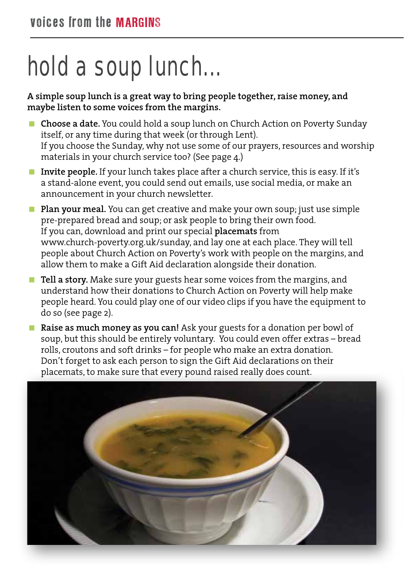# hold a soup lunch...

**A simple soup lunch is a great way to bring people together, raise money, and maybe listen to some voices from the margins.**

- **Choose a date.** You could hold a soup lunch on Church Action on Poverty Sunday itself, or any time during that week (or through Lent). If you choose the Sunday, why not use some of our prayers, resources and worship materials in your church service too? (See page 4.)
- **Invite people.** If your lunch takes place after a church service, this is easy. If it's a stand-alone event, you could send out emails, use social media, or make an announcement in your church newsletter.
- **Plan your meal.** You can get creative and make your own soup; just use simple pre-prepared bread and soup; or ask people to bring their own food. If you can, download and print our special **placemats** from www.church-poverty.org.uk/sunday, and lay one at each place. They will tell people about Church Action on Poverty's work with people on the margins, and allow them to make a Gift Aid declaration alongside their donation.
- **Tell a story.** Make sure your guests hear some voices from the margins, and understand how their donations to Church Action on Poverty will help make people heard. You could play one of our video clips if you have the equipment to do so (see page 2).
- **Raise as much money as you can!** Ask your guests for a donation per bowl of soup, but this should be entirely voluntary. You could even offer extras – bread rolls, croutons and soft drinks – for people who make an extra donation. Don't forget to ask each person to sign the Gift Aid declarations on their placemats, to make sure that every pound raised really does count.

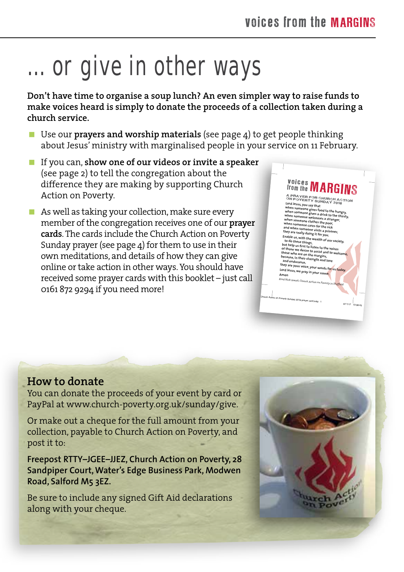# ... or give in other ways

**Don't have time to organise a soup lunch? An even simpler way to raise funds to make voices heard is simply to donate the proceeds of a collection taken during a church service.**

- Use our **prayers and worship materials** (see page 4) to get people thinking about Jesus' ministry with marginalised people in your service on 11 February.
- If you can, **show one of our videos or invite a speaker** (see page 2) to tell the congregation about the difference they are making by supporting Church Action on Poverty.
- $\blacksquare$  As well as taking your collection, make sure every member of the congregation receives one of our **prayer cards**. The cards include the Church Action on Poverty Sunday prayer (see page 4) for them to use in their own meditations, and details of how they can give online or take action in other ways. You should have received some prayer cards with this booklet – just call 0161 872 9294 if you need more!



#### **How to donate**

You can donate the proceeds of your event by card or PayPal at www.church-poverty.org.uk/sunday/give.

Or make out a cheque for the full amount from your collection, payable to Church Action on Poverty, and post it to:

**Freepost RTTY–JGEE–JJEZ, Church Action on Poverty, 28 Sandpiper Court, Water's Edge Business Park, Modwen Road, Salford M5 3EZ.**

Be sure to include any signed Gift Aid declarations along with your cheque.